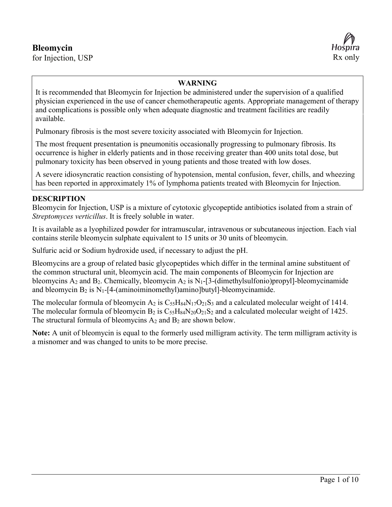# **Bleomycin**

for Injection, USP Rx only



#### **WARNING**

It is recommended that Bleomycin for Injection be administered under the supervision of a qualified physician experienced in the use of cancer chemotherapeutic agents. Appropriate management of therapy and complications is possible only when adequate diagnostic and treatment facilities are readily available.

Pulmonary fibrosis is the most severe toxicity associated with Bleomycin for Injection.

The most frequent presentation is pneumonitis occasionally progressing to pulmonary fibrosis. Its occurrence is higher in elderly patients and in those receiving greater than 400 units total dose, but pulmonary toxicity has been observed in young patients and those treated with low doses.

A severe idiosyncratic reaction consisting of hypotension, mental confusion, fever, chills, and wheezing has been reported in approximately 1% of lymphoma patients treated with Bleomycin for Injection.

#### **DESCRIPTION**

Bleomycin for Injection, USP is a mixture of cytotoxic glycopeptide antibiotics isolated from a strain of *Streptomyces verticillus*. It is freely soluble in water.

It is available as a lyophilized powder for intramuscular, intravenous or subcutaneous injection. Each vial contains sterile bleomycin sulphate equivalent to 15 units or 30 units of bleomycin.

Sulfuric acid or Sodium hydroxide used, if necessary to adjust the pH.

Bleomycins are a group of related basic glycopeptides which differ in the terminal amine substituent of the common structural unit, bleomycin acid. The main components of Bleomycin for Injection are bleomycins  $A_2$  and  $B_2$ . Chemically, bleomycin  $A_2$  is  $N_1$ -[3-(dimethylsulfonio)propyl]-bleomycinamide and bleomycin  $B_2$  is  $N_1$ -[4-(aminoiminomethyl)amino]butyl]-bleomycinamide.

The molecular formula of bleomycin  $A_2$  is  $C_{55}H_{84}N_{17}O_{21}S_3$  and a calculated molecular weight of 1414. The molecular formula of bleomycin  $B_2$  is  $C_{55}H_{84}N_{20}O_{21}S_2$  and a calculated molecular weight of 1425. The structural formula of bleomycins  $A_2$  and  $B_2$  are shown below.

**Note:** A unit of bleomycin is equal to the formerly used milligram activity. The term milligram activity is a misnomer and was changed to units to be more precise.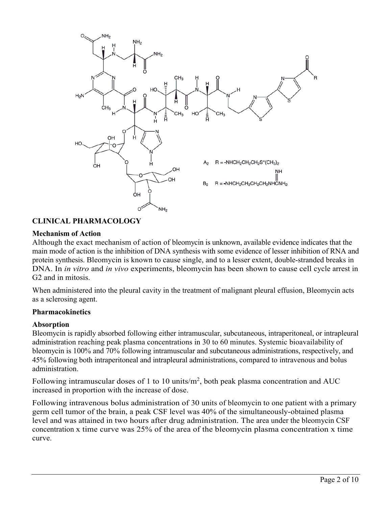

## **CLINICAL PHARMACOLOGY**

#### **Mechanism of Action**

Although the exact mechanism of action of bleomycin is unknown, available evidence indicates that the main mode of action is the inhibition of DNA synthesis with some evidence of lesser inhibition of RNA and protein synthesis. Bleomycin is known to cause single, and to a lesser extent, double-stranded breaks in DNA. In *in vitro* and *in vivo* experiments, bleomycin has been shown to cause cell cycle arrest in G2 and in mitosis.

When administered into the pleural cavity in the treatment of malignant pleural effusion, Bleomycin acts as a sclerosing agent.

#### **Pharmacokinetics**

#### **Absorption**

Bleomycin is rapidly absorbed following either intramuscular, subcutaneous, intraperitoneal, or intrapleural administration reaching peak plasma concentrations in 30 to 60 minutes. Systemic bioavailability of bleomycin is 100% and 70% following intramuscular and subcutaneous administrations, respectively, and 45% following both intraperitoneal and intrapleural administrations, compared to intravenous and bolus administration.

Following intramuscular doses of 1 to 10 units/ $m^2$ , both peak plasma concentration and AUC increased in proportion with the increase of dose.

Following intravenous bolus administration of 30 units of bleomycin to one patient with a primary germ cell tumor of the brain, a peak CSF level was 40% of the simultaneously-obtained plasma level and was attained in two hours after drug administration. The area under the bleomycin CSF concentration x time curve was 25% of the area of the bleomycin plasma concentration x time curve.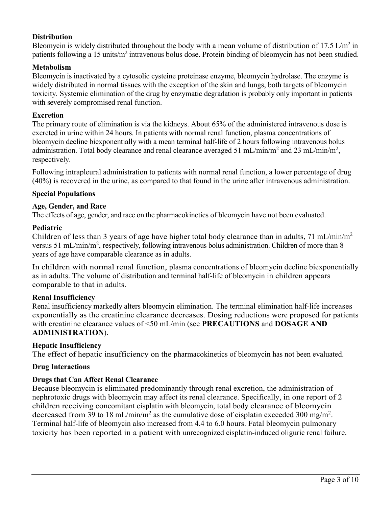### **Distribution**

Bleomycin is widely distributed throughout the body with a mean volume of distribution of 17.5 L/m<sup>2</sup> in patients following a 15 units/m<sup>2</sup> intravenous bolus dose. Protein binding of bleomycin has not been studied.

### **Metabolism**

Bleomycin is inactivated by a cytosolic cysteine proteinase enzyme, bleomycin hydrolase. The enzyme is widely distributed in normal tissues with the exception of the skin and lungs, both targets of bleomycin toxicity. Systemic elimination of the drug by enzymatic degradation is probably only important in patients with severely compromised renal function.

#### **Excretion**

The primary route of elimination is via the kidneys. About 65% of the administered intravenous dose is excreted in urine within 24 hours. In patients with normal renal function, plasma concentrations of bleomycin decline biexponentially with a mean terminal half-life of 2 hours following intravenous bolus administration. Total body clearance and renal clearance averaged 51 mL/min/m<sup>2</sup> and 23 mL/min/m<sup>2</sup>, respectively.

Following intrapleural administration to patients with normal renal function, a lower percentage of drug (40%) is recovered in the urine, as compared to that found in the urine after intravenous administration.

#### **Special Populations**

#### **Age, Gender, and Race**

The effects of age, gender, and race on the pharmacokinetics of bleomycin have not been evaluated.

### **Pediatric**

Children of less than 3 years of age have higher total body clearance than in adults,  $71 \text{ mL/min/m}^2$ versus 51 mL/min/m<sup>2</sup>, respectively, following intravenous bolus administration. Children of more than 8 years of age have comparable clearance as in adults.

In children with normal renal function, plasma concentrations of bleomycin decline biexponentially as in adults. The volume of distribution and terminal half-life of bleomycin in children appears comparable to that in adults.

#### **Renal Insufficiency**

Renal insufficiency markedly alters bleomycin elimination. The terminal elimination half-life increases exponentially as the creatinine clearance decreases. Dosing reductions were proposed for patients with creatinine clearance values of <50 mL/min (see **PRECAUTIONS** and **DOSAGE AND ADMINISTRATION**).

### **Hepatic Insufficiency**

The effect of hepatic insufficiency on the pharmacokinetics of bleomycin has not been evaluated.

#### **Drug Interactions**

#### **Drugs that Can Affect Renal Clearance**

Because bleomycin is eliminated predominantly through renal excretion, the administration of nephrotoxic drugs with bleomycin may affect its renal clearance. Specifically, in one report of 2 children receiving concomitant cisplatin with bleomycin, total body clearance of bleomycin decreased from 39 to 18 mL/min/m<sup>2</sup> as the cumulative dose of cisplatin exceeded 300 mg/m<sup>2</sup>. Terminal half-life of bleomycin also increased from 4.4 to 6.0 hours. Fatal bleomycin pulmonary toxicity has been reported in a patient with unrecognized cisplatin-induced oliguric renal failure.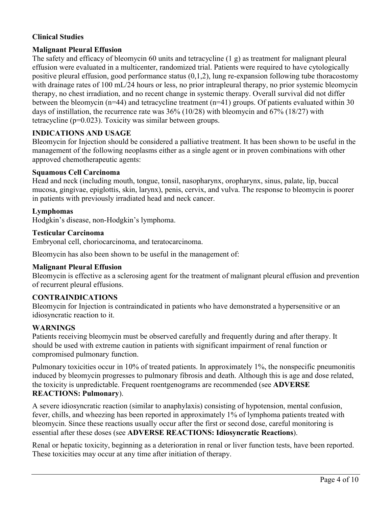## **Clinical Studies**

### **Malignant Pleural Effusion**

The safety and efficacy of bleomycin 60 units and tetracycline (1 g) as treatment for malignant pleural effusion were evaluated in a multicenter, randomized trial. Patients were required to have cytologically positive pleural effusion, good performance status (0,1,2), lung re-expansion following tube thoracostomy with drainage rates of 100 mL/24 hours or less, no prior intrapleural therapy, no prior systemic bleomycin therapy, no chest irradiation, and no recent change in systemic therapy. Overall survival did not differ between the bleomycin (n=44) and tetracycline treatment (n=41) groups. Of patients evaluated within 30 days of instillation, the recurrence rate was 36% (10/28) with bleomycin and 67% (18/27) with tetracycline (p=0.023). Toxicity was similar between groups.

### **INDICATIONS AND USAGE**

Bleomycin for Injection should be considered a palliative treatment. It has been shown to be useful in the management of the following neoplasms either as a single agent or in proven combinations with other approved chemotherapeutic agents:

#### **Squamous Cell Carcinoma**

Head and neck (including mouth, tongue, tonsil, nasopharynx, oropharynx, sinus, palate, lip, buccal mucosa, gingivae, epiglottis, skin, larynx), penis, cervix, and vulva. The response to bleomycin is poorer in patients with previously irradiated head and neck cancer.

#### **Lymphomas**

Hodgkin's disease, non-Hodgkin's lymphoma.

#### **Testicular Carcinoma**

Embryonal cell, choriocarcinoma, and teratocarcinoma.

Bleomycin has also been shown to be useful in the management of:

#### **Malignant Pleural Effusion**

Bleomycin is effective as a sclerosing agent for the treatment of malignant pleural effusion and prevention of recurrent pleural effusions.

#### **CONTRAINDICATIONS**

Bleomycin for Injection is contraindicated in patients who have demonstrated a hypersensitive or an idiosyncratic reaction to it.

#### **WARNINGS**

Patients receiving bleomycin must be observed carefully and frequently during and after therapy. It should be used with extreme caution in patients with significant impairment of renal function or compromised pulmonary function.

Pulmonary toxicities occur in 10% of treated patients. In approximately 1%, the nonspecific pneumonitis induced by bleomycin progresses to pulmonary fibrosis and death. Although this is age and dose related, the toxicity is unpredictable. Frequent roentgenograms are recommended (see **ADVERSE REACTIONS: Pulmonary**).

A severe idiosyncratic reaction (similar to anaphylaxis) consisting of hypotension, mental confusion, fever, chills, and wheezing has been reported in approximately 1% of lymphoma patients treated with bleomycin. Since these reactions usually occur after the first or second dose, careful monitoring is essential after these doses (see **ADVERSE REACTIONS: Idiosyncratic Reactions**).

Renal or hepatic toxicity, beginning as a deterioration in renal or liver function tests, have been reported. These toxicities may occur at any time after initiation of therapy.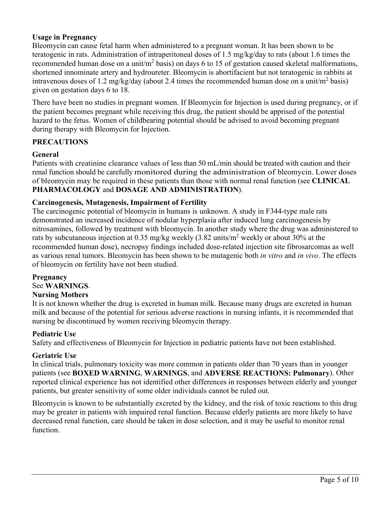#### **Usage in Pregnancy**

Bleomycin can cause fetal harm when administered to a pregnant woman. It has been shown to be teratogenic in rats. Administration of intraperitoneal doses of 1.5 mg/kg/day to rats (about 1.6 times the recommended human dose on a unit/ $m<sup>2</sup>$  basis) on days 6 to 15 of gestation caused skeletal malformations, shortened innominate artery and hydroureter. Bleomycin is abortifacient but not teratogenic in rabbits at intravenous doses of 1.2 mg/kg/day (about 2.4 times the recommended human dose on a unit/m<sup>2</sup> basis) given on gestation days 6 to 18.

There have been no studies in pregnant women. If Bleomycin for Injection is used during pregnancy, or if the patient becomes pregnant while receiving this drug, the patient should be apprised of the potential hazard to the fetus. Women of childbearing potential should be advised to avoid becoming pregnant during therapy with Bleomycin for Injection.

#### **PRECAUTIONS**

#### **General**

Patients with creatinine clearance values of less than 50 mL/min should be treated with caution and their renal function should be carefully monitored during the administration of bleomycin. Lower doses of bleomycin may be required in these patients than those with normal renal function (see **CLINICAL PHARMACOLOGY** and **DOSAGE AND ADMINISTRATION**).

#### **Carcinogenesis, Mutagenesis, Impairment of Fertility**

The carcinogenic potential of bleomycin in humans is unknown. A study in F344-type male rats demonstrated an increased incidence of nodular hyperplasia after induced lung carcinogenesis by nitrosamines, followed by treatment with bleomycin. In another study where the drug was administered to rats by subcutaneous injection at 0.35 mg/kg weekly  $(3.82 \text{ units/m}^2 \text{ weekly} \text{ or about } 30\% \text{ at the}$ recommended human dose), necropsy findings included dose-related injection site fibrosarcomas as well as various renal tumors. Bleomycin has been shown to be mutagenic both *in vitro* and *in vivo*. The effects of bleomycin on fertility have not been studied.

#### **Pregnancy** See **WARNINGS**.

#### **Nursing Mothers**

It is not known whether the drug is excreted in human milk. Because many drugs are excreted in human milk and because of the potential for serious adverse reactions in nursing infants, it is recommended that nursing be discontinued by women receiving bleomycin therapy.

#### **Pediatric Use**

Safety and effectiveness of Bleomycin for Injection in pediatric patients have not been established.

#### **Geriatric Use**

In clinical trials, pulmonary toxicity was more common in patients older than 70 years than in younger patients (see **BOXED WARNING**, **WARNINGS**, and **ADVERSE REACTIONS: Pulmonary**). Other reported clinical experience has not identified other differences in responses between elderly and younger patients, but greater sensitivity of some older individuals cannot be ruled out.

Bleomycin is known to be substantially excreted by the kidney, and the risk of toxic reactions to this drug may be greater in patients with impaired renal function. Because elderly patients are more likely to have decreased renal function, care should be taken in dose selection, and it may be useful to monitor renal function.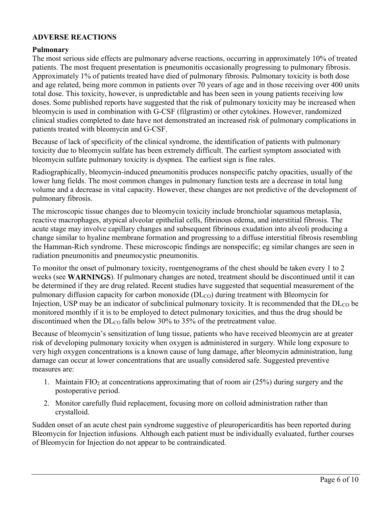### **ADVERSE REACTIONS**

#### **Pulmonary**

The most serious side effects are pulmonary adverse reactions, occurring in approximately 10% of treated patients. The most frequent presentation is pneumonitis occasionally progressing to pulmonary fibrosis. Approximately 1% of patients treated have died of pulmonary fibrosis. Pulmonary toxicity is both dose and age related, being more common in patients over 70 years of age and in those receiving over 400 units total dose. This toxicity, however, is unpredictable and has been seen in young patients receiving low doses. Some published reports have suggested that the risk of pulmonary toxicity may be increased when bleomycin is used in combination with G-CSF (filgrastim) or other cytokines. However, randomized clinical studies completed to date have not demonstrated an increased risk of pulmonary complications in patients treated with bleomycin and G-CSF.

Because of lack of specificity of the clinical syndrome, the identification of patients with pulmonary toxicity due to bleomycin sulfate has been extremely difficult. The earliest symptom associated with bleomycin sulfate pulmonary toxicity is dyspnea. The earliest sign is fine rales.

Radiographically, bleomycin-induced pneumonitis produces nonspecific patchy opacities, usually of the lower lung fields. The most common changes in pulmonary function tests are a decrease in total lung volume and a decrease in vital capacity. However, these changes are not predictive of the development of pulmonary fibrosis.

The microscopic tissue changes due to bleomycin toxicity include bronchiolar squamous metaplasia, reactive macrophages, atypical alveolar epithelial cells, fibrinous edema, and interstitial fibrosis. The acute stage may involve capillary changes and subsequent fibrinous exudation into alveoli producing a change similar to hyaline membrane formation and progressing to a diffuse interstitial fibrosis resembling the Hamman-Rich syndrome. These microscopic findings are nonspecific; eg similar changes are seen in radiation pneumonitis and pneumocystic pneumonitis.

To monitor the onset of pulmonary toxicity, roentgenograms of the chest should be taken every 1 to 2 weeks (see **WARNINGS**). If pulmonary changes are noted, treatment should be discontinued until it can be determined if they are drug related. Recent studies have suggested that sequential measurement of the pulmonary diffusion capacity for carbon monoxide (DL<sub>CO</sub>) during treatment with Bleomycin for Injection, USP may be an indicator of subclinical pulmonary toxicity. It is recommended that the  $DL<sub>CO</sub>$  be monitored monthly if it is to be employed to detect pulmonary toxicities, and thus the drug should be discontinued when the  $\text{DL}_{\text{CO}}$  falls below 30% to 35% of the pretreatment value.

Because of bleomycin's sensitization of lung tissue, patients who have received bleomycin are at greater risk of developing pulmonary toxicity when oxygen is administered in surgery. While long exposure to very high oxygen concentrations is a known cause of lung damage, after bleomycin administration, lung damage can occur at lower concentrations that are usually considered safe. Suggested preventive measures are:

- 1. Maintain FIO<sub>2</sub> at concentrations approximating that of room air  $(25%)$  during surgery and the postoperative period.
- 2. Monitor carefully fluid replacement, focusing more on colloid administration rather than crystalloid.

Sudden onset of an acute chest pain syndrome suggestive of pleuropericarditis has been reported during Bleomycin for Injection infusions. Although each patient must be individually evaluated, further courses of Bleomycin for Injection do not appear to be contraindicated.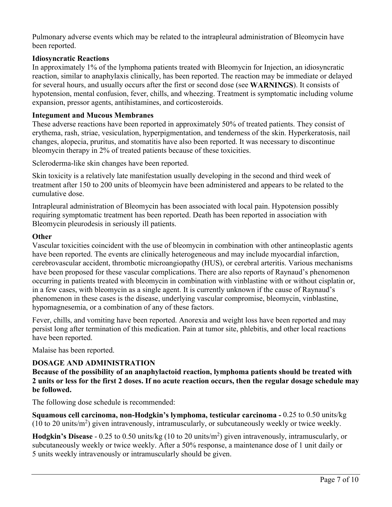Pulmonary adverse events which may be related to the intrapleural administration of Bleomycin have been reported.

### **Idiosyncratic Reactions**

In approximately 1% of the lymphoma patients treated with Bleomycin for Injection, an idiosyncratic reaction, similar to anaphylaxis clinically, has been reported. The reaction may be immediate or delayed for several hours, and usually occurs after the first or second dose (see **WARNINGS**). It consists of hypotension, mental confusion, fever, chills, and wheezing. Treatment is symptomatic including volume expansion, pressor agents, antihistamines, and corticosteroids.

#### **Integument and Mucous Membranes**

These adverse reactions have been reported in approximately 50% of treated patients. They consist of erythema, rash, striae, vesiculation, hyperpigmentation, and tenderness of the skin. Hyperkeratosis, nail changes, alopecia, pruritus, and stomatitis have also been reported. It was necessary to discontinue bleomycin therapy in 2% of treated patients because of these toxicities.

Scleroderma-like skin changes have been reported.

Skin toxicity is a relatively late manifestation usually developing in the second and third week of treatment after 150 to 200 units of bleomycin have been administered and appears to be related to the cumulative dose.

Intrapleural administration of Bleomycin has been associated with local pain. Hypotension possibly requiring symptomatic treatment has been reported. Death has been reported in association with Bleomycin pleurodesis in seriously ill patients.

#### **Other**

Vascular toxicities coincident with the use of bleomycin in combination with other antineoplastic agents have been reported. The events are clinically heterogeneous and may include myocardial infarction, cerebrovascular accident, thrombotic microangiopathy (HUS), or cerebral arteritis. Various mechanisms have been proposed for these vascular complications. There are also reports of Raynaud's phenomenon occurring in patients treated with bleomycin in combination with vinblastine with or without cisplatin or, in a few cases, with bleomycin as a single agent. It is currently unknown if the cause of Raynaud's phenomenon in these cases is the disease, underlying vascular compromise, bleomycin, vinblastine, hypomagnesemia, or a combination of any of these factors.

Fever, chills, and vomiting have been reported. Anorexia and weight loss have been reported and may persist long after termination of this medication. Pain at tumor site, phlebitis, and other local reactions have been reported.

Malaise has been reported.

#### **DOSAGE AND ADMINISTRATION**

**Because of the possibility of an anaphylactoid reaction, lymphoma patients should be treated with 2 units or less for the first 2 doses. If no acute reaction occurs, then the regular dosage schedule may be followed.**

The following dose schedule is recommended:

**Squamous cell carcinoma, non-Hodgkin's lymphoma, testicular carcinoma -** 0.25 to 0.50 units/kg (10 to 20 units/ $m<sup>2</sup>$ ) given intravenously, intramuscularly, or subcutaneously weekly or twice weekly.

**Hodgkin's Disease** - 0.25 to 0.50 units/kg (10 to 20 units/m<sup>2</sup> ) given intravenously, intramuscularly, or subcutaneously weekly or twice weekly. After a 50% response, a maintenance dose of 1 unit daily or 5 units weekly intravenously or intramuscularly should be given.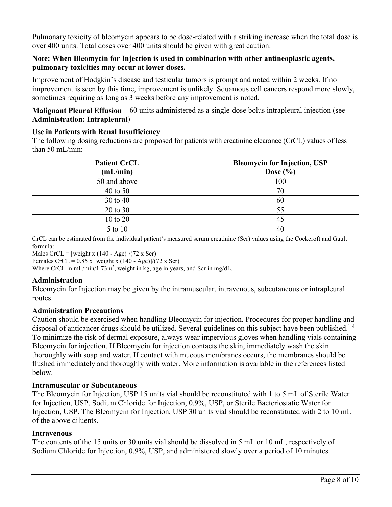Pulmonary toxicity of bleomycin appears to be dose-related with a striking increase when the total dose is over 400 units. Total doses over 400 units should be given with great caution.

#### **Note: When Bleomycin for Injection is used in combination with other antineoplastic agents, pulmonary toxicities may occur at lower doses.**

Improvement of Hodgkin's disease and testicular tumors is prompt and noted within 2 weeks. If no improvement is seen by this time, improvement is unlikely. Squamous cell cancers respond more slowly, sometimes requiring as long as 3 weeks before any improvement is noted.

**Malignant Pleural Effusion**—60 units administered as a single-dose bolus intrapleural injection (see **Administration: Intrapleural**).

### **Use in Patients with Renal Insufficiency**

The following dosing reductions are proposed for patients with creatinine clearance (CrCL) values of less than 50 mL/min:

| <b>Patient CrCL</b><br>(mL/min) | <b>Bleomycin for Injection, USP</b><br>Dose $(\% )$ |
|---------------------------------|-----------------------------------------------------|
| 50 and above                    | 100                                                 |
| 40 to 50                        | 70                                                  |
| $30 \text{ to } 40$             | 60                                                  |
| 20 to 30                        | 55                                                  |
| $10$ to $20$                    | 45                                                  |
| 5 to 10                         | 40                                                  |

CrCL can be estimated from the individual patient's measured serum creatinine (Scr) values using the Cockcroft and Gault formula:

Males CrCL = [weight x  $(140 - Age)$ ]/(72 x Scr)

Females CrCL =  $0.85$  x [weight x (140 - Age)]/(72 x Scr)

Where CrCL in  $mL/min/1.73m^2$ , weight in kg, age in years, and Scr in mg/dL.

#### **Administration**

Bleomycin for Injection may be given by the intramuscular, intravenous, subcutaneous or intrapleural routes.

#### **Administration Precautions**

Caution should be exercised when handling Bleomycin for injection. Procedures for proper handling and disposal of anticancer drugs should be utilized. Several guidelines on this subject have been published.<sup>1-4</sup> To minimize the risk of dermal exposure, always wear impervious gloves when handling vials containing Bleomycin for injection. If Bleomycin for injection contacts the skin, immediately wash the skin thoroughly with soap and water. If contact with mucous membranes occurs, the membranes should be flushed immediately and thoroughly with water. More information is available in the references listed below.

#### **Intramuscular or Subcutaneous**

The Bleomycin for Injection, USP 15 units vial should be reconstituted with 1 to 5 mL of Sterile Water for Injection, USP, Sodium Chloride for Injection, 0.9%, USP, or Sterile Bacteriostatic Water for Injection, USP. The Bleomycin for Injection, USP 30 units vial should be reconstituted with 2 to 10 mL of the above diluents.

#### **Intravenous**

The contents of the 15 units or 30 units vial should be dissolved in 5 mL or 10 mL, respectively of Sodium Chloride for Injection, 0.9%, USP, and administered slowly over a period of 10 minutes.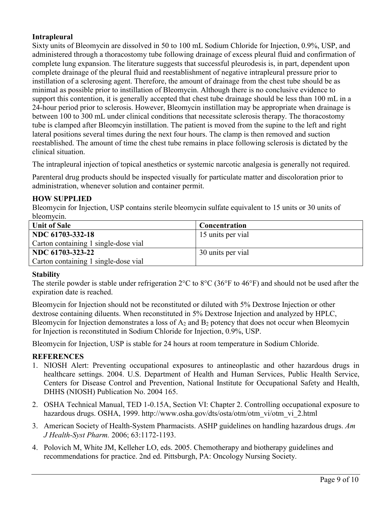### **Intrapleural**

Sixty units of Bleomycin are dissolved in 50 to 100 mL Sodium Chloride for Injection, 0.9%, USP, and administered through a thoracostomy tube following drainage of excess pleural fluid and confirmation of complete lung expansion. The literature suggests that successful pleurodesis is, in part, dependent upon complete drainage of the pleural fluid and reestablishment of negative intrapleural pressure prior to instillation of a sclerosing agent. Therefore, the amount of drainage from the chest tube should be as minimal as possible prior to instillation of Bleomycin. Although there is no conclusive evidence to support this contention, it is generally accepted that chest tube drainage should be less than 100 mL in a 24-hour period prior to sclerosis. However, Bleomycin instillation may be appropriate when drainage is between 100 to 300 mL under clinical conditions that necessitate sclerosis therapy. The thoracostomy tube is clamped after Bleomcyin instillation. The patient is moved from the supine to the left and right lateral positions several times during the next four hours. The clamp is then removed and suction reestablished. The amount of time the chest tube remains in place following sclerosis is dictated by the clinical situation.

The intrapleural injection of topical anesthetics or systemic narcotic analgesia is generally not required.

Parenteral drug products should be inspected visually for particulate matter and discoloration prior to administration, whenever solution and container permit.

#### **HOW SUPPLIED**

Bleomycin for Injection, USP contains sterile bleomycin sulfate equivalent to 15 units or 30 units of bleomycin.

| <b>Unit of Sale</b>                  | <b>Concentration</b> |
|--------------------------------------|----------------------|
| NDC 61703-332-18                     | 15 units per vial    |
| Carton containing 1 single-dose vial |                      |
| NDC 61703-323-22                     | 30 units per vial    |
| Carton containing 1 single-dose vial |                      |

#### **Stability**

The sterile powder is stable under refrigeration 2°C to 8°C (36°F to 46°F) and should not be used after the expiration date is reached.

Bleomycin for Injection should not be reconstituted or diluted with 5% Dextrose Injection or other dextrose containing diluents. When reconstituted in 5% Dextrose Injection and analyzed by HPLC, Bleomycin for Injection demonstrates a loss of  $A_2$  and  $B_2$  potency that does not occur when Bleomycin for Injection is reconstituted in Sodium Chloride for Injection, 0.9%, USP.

Bleomycin for Injection, USP is stable for 24 hours at room temperature in Sodium Chloride.

#### **REFERENCES**

- 1. NIOSH Alert: Preventing occupational exposures to antineoplastic and other hazardous drugs in healthcare settings. 2004. U.S. Department of Health and Human Services, Public Health Service, Centers for Disease Control and Prevention, National Institute for Occupational Safety and Health, DHHS (NIOSH) Publication No. 2004 165.
- 2. OSHA Technical Manual, TED 1-0.15A, Section VI: Chapter 2. Controlling occupational exposure to hazardous drugs. OSHA, 1999. http://www.osha.gov/dts/osta/otm/otm\_vi/otm\_vi\_2.html
- 3. American Society of Health-System Pharmacists. ASHP guidelines on handling hazardous drugs. *Am J Health-Syst Pharm.* 2006; 63:1172-1193.
- 4. Polovich M, White JM, Kelleher LO, eds. 2005. Chemotherapy and biotherapy guidelines and recommendations for practice. 2nd ed. Pittsburgh, PA: Oncology Nursing Society.